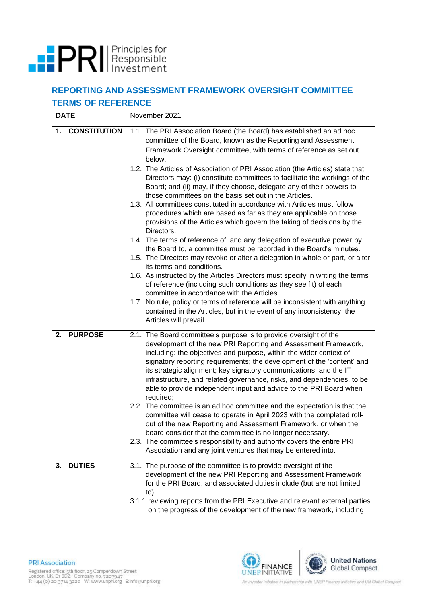

## **REPORTING AND ASSESSMENT FRAMEWORK OVERSIGHT COMMITTEE TERMS OF REFERENCE**

| <b>DATE</b>               | November 2021                                                                                                                                                                                                                                                                                                                                                                                                                                                                                                                                                                                                                                                                                                                                                                                                                                                                                                                                                                                                                                                                                                                                                                                                                                                                                                                                                                                                          |  |  |  |
|---------------------------|------------------------------------------------------------------------------------------------------------------------------------------------------------------------------------------------------------------------------------------------------------------------------------------------------------------------------------------------------------------------------------------------------------------------------------------------------------------------------------------------------------------------------------------------------------------------------------------------------------------------------------------------------------------------------------------------------------------------------------------------------------------------------------------------------------------------------------------------------------------------------------------------------------------------------------------------------------------------------------------------------------------------------------------------------------------------------------------------------------------------------------------------------------------------------------------------------------------------------------------------------------------------------------------------------------------------------------------------------------------------------------------------------------------------|--|--|--|
| <b>CONSTITUTION</b><br>1. | 1.1. The PRI Association Board (the Board) has established an ad hoc<br>committee of the Board, known as the Reporting and Assessment<br>Framework Oversight committee, with terms of reference as set out<br>below.<br>1.2. The Articles of Association of PRI Association (the Articles) state that<br>Directors may: (i) constitute committees to facilitate the workings of the<br>Board; and (ii) may, if they choose, delegate any of their powers to<br>those committees on the basis set out in the Articles.<br>1.3. All committees constituted in accordance with Articles must follow<br>procedures which are based as far as they are applicable on those<br>provisions of the Articles which govern the taking of decisions by the<br>Directors.<br>1.4. The terms of reference of, and any delegation of executive power by<br>the Board to, a committee must be recorded in the Board's minutes.<br>1.5. The Directors may revoke or alter a delegation in whole or part, or alter<br>its terms and conditions.<br>1.6. As instructed by the Articles Directors must specify in writing the terms<br>of reference (including such conditions as they see fit) of each<br>committee in accordance with the Articles.<br>1.7. No rule, policy or terms of reference will be inconsistent with anything<br>contained in the Articles, but in the event of any inconsistency, the<br>Articles will prevail. |  |  |  |
| <b>PURPOSE</b><br>2.      | 2.1. The Board committee's purpose is to provide oversight of the<br>development of the new PRI Reporting and Assessment Framework,<br>including: the objectives and purpose, within the wider context of<br>signatory reporting requirements; the development of the 'content' and<br>its strategic alignment; key signatory communications; and the IT<br>infrastructure, and related governance, risks, and dependencies, to be<br>able to provide independent input and advice to the PRI Board when<br>required;<br>2.2. The committee is an ad hoc committee and the expectation is that the<br>committee will cease to operate in April 2023 with the completed roll-<br>out of the new Reporting and Assessment Framework, or when the<br>board consider that the committee is no longer necessary.<br>2.3. The committee's responsibility and authority covers the entire PRI<br>Association and any joint ventures that may be entered into.                                                                                                                                                                                                                                                                                                                                                                                                                                                                 |  |  |  |
| <b>DUTIES</b><br>3.       | 3.1. The purpose of the committee is to provide oversight of the<br>development of the new PRI Reporting and Assessment Framework<br>for the PRI Board, and associated duties include (but are not limited<br>$to)$ :<br>3.1.1. reviewing reports from the PRI Executive and relevant external parties<br>on the progress of the development of the new framework, including                                                                                                                                                                                                                                                                                                                                                                                                                                                                                                                                                                                                                                                                                                                                                                                                                                                                                                                                                                                                                                           |  |  |  |

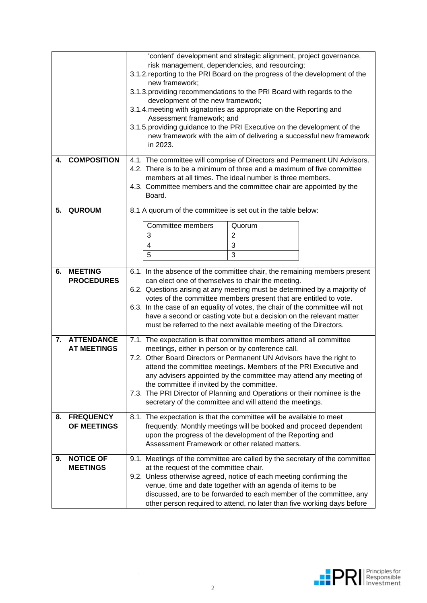|    |                    | 'content' development and strategic alignment, project governance,                                                                 |                |  |  |  |  |
|----|--------------------|------------------------------------------------------------------------------------------------------------------------------------|----------------|--|--|--|--|
|    |                    | risk management, dependencies, and resourcing;                                                                                     |                |  |  |  |  |
|    |                    | 3.1.2. reporting to the PRI Board on the progress of the development of the                                                        |                |  |  |  |  |
|    |                    | new framework;                                                                                                                     |                |  |  |  |  |
|    |                    | 3.1.3. providing recommendations to the PRI Board with regards to the                                                              |                |  |  |  |  |
|    |                    | development of the new framework;<br>3.1.4. meeting with signatories as appropriate on the Reporting and                           |                |  |  |  |  |
|    |                    | Assessment framework; and                                                                                                          |                |  |  |  |  |
|    |                    | 3.1.5. providing guidance to the PRI Executive on the development of the                                                           |                |  |  |  |  |
|    |                    | new framework with the aim of delivering a successful new framework                                                                |                |  |  |  |  |
|    |                    | in 2023.                                                                                                                           |                |  |  |  |  |
| 4. | <b>COMPOSITION</b> | 4.1. The committee will comprise of Directors and Permanent UN Advisors.                                                           |                |  |  |  |  |
|    |                    | 4.2. There is to be a minimum of three and a maximum of five committee                                                             |                |  |  |  |  |
|    |                    | members at all times. The ideal number is three members.                                                                           |                |  |  |  |  |
|    |                    | 4.3. Committee members and the committee chair are appointed by the                                                                |                |  |  |  |  |
|    |                    | Board.                                                                                                                             |                |  |  |  |  |
| 5. | <b>QUROUM</b>      | 8.1 A quorum of the committee is set out in the table below:                                                                       |                |  |  |  |  |
|    |                    | <b>Committee members</b>                                                                                                           | Quorum         |  |  |  |  |
|    |                    | 3                                                                                                                                  | $\overline{2}$ |  |  |  |  |
|    |                    | 4                                                                                                                                  | 3              |  |  |  |  |
|    |                    | 5                                                                                                                                  | 3              |  |  |  |  |
|    | <b>MEETING</b>     |                                                                                                                                    |                |  |  |  |  |
| 6. | <b>PROCEDURES</b>  | 6.1. In the absence of the committee chair, the remaining members present                                                          |                |  |  |  |  |
|    |                    | can elect one of themselves to chair the meeting.<br>6.2. Questions arising at any meeting must be determined by a majority of     |                |  |  |  |  |
|    |                    | votes of the committee members present that are entitled to vote.                                                                  |                |  |  |  |  |
|    |                    | 6.3. In the case of an equality of votes, the chair of the committee will not                                                      |                |  |  |  |  |
|    |                    | have a second or casting vote but a decision on the relevant matter                                                                |                |  |  |  |  |
|    |                    | must be referred to the next available meeting of the Directors.                                                                   |                |  |  |  |  |
|    | 7. ATTENDANCE      | 7.1. The expectation is that committee members attend all committee                                                                |                |  |  |  |  |
|    | <b>AT MEETINGS</b> | meetings, either in person or by conference call.<br>7.2. Other Board Directors or Permanent UN Advisors have the right to         |                |  |  |  |  |
|    |                    |                                                                                                                                    |                |  |  |  |  |
|    |                    | attend the committee meetings. Members of the PRI Executive and                                                                    |                |  |  |  |  |
|    |                    | any advisers appointed by the committee may attend any meeting of<br>the committee if invited by the committee.                    |                |  |  |  |  |
|    |                    | 7.3. The PRI Director of Planning and Operations or their nominee is the                                                           |                |  |  |  |  |
|    |                    | secretary of the committee and will attend the meetings.                                                                           |                |  |  |  |  |
| 8. | <b>FREQUENCY</b>   | 8.1. The expectation is that the committee will be available to meet                                                               |                |  |  |  |  |
|    | OF MEETINGS        | frequently. Monthly meetings will be booked and proceed dependent                                                                  |                |  |  |  |  |
|    |                    | upon the progress of the development of the Reporting and<br>Assessment Framework or other related matters.                        |                |  |  |  |  |
|    |                    |                                                                                                                                    |                |  |  |  |  |
| 9. | <b>NOTICE OF</b>   | 9.1. Meetings of the committee are called by the secretary of the committee                                                        |                |  |  |  |  |
|    | <b>MEETINGS</b>    | at the request of the committee chair.                                                                                             |                |  |  |  |  |
|    |                    | 9.2. Unless otherwise agreed, notice of each meeting confirming the                                                                |                |  |  |  |  |
|    |                    | venue, time and date together with an agenda of items to be<br>discussed, are to be forwarded to each member of the committee, any |                |  |  |  |  |
|    |                    | other person required to attend, no later than five working days before                                                            |                |  |  |  |  |
|    |                    |                                                                                                                                    |                |  |  |  |  |

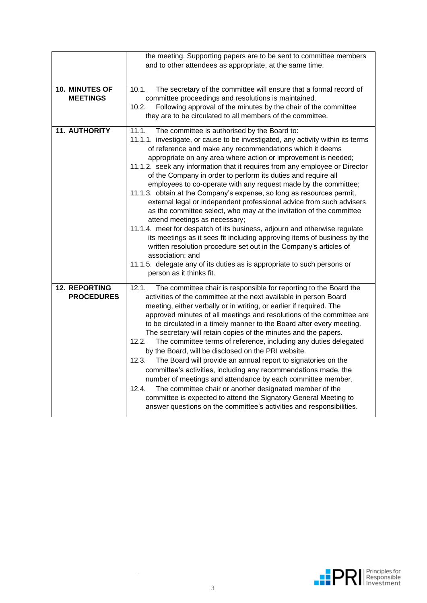|                                                                               | the meeting. Supporting papers are to be sent to committee members                                                                     |  |  |  |  |  |  |  |  |  |
|-------------------------------------------------------------------------------|----------------------------------------------------------------------------------------------------------------------------------------|--|--|--|--|--|--|--|--|--|
|                                                                               | and to other attendees as appropriate, at the same time.                                                                               |  |  |  |  |  |  |  |  |  |
|                                                                               |                                                                                                                                        |  |  |  |  |  |  |  |  |  |
|                                                                               |                                                                                                                                        |  |  |  |  |  |  |  |  |  |
| <b>10. MINUTES OF</b>                                                         | The secretary of the committee will ensure that a formal record of<br>10.1.                                                            |  |  |  |  |  |  |  |  |  |
| <b>MEETINGS</b>                                                               | committee proceedings and resolutions is maintained.                                                                                   |  |  |  |  |  |  |  |  |  |
|                                                                               | Following approval of the minutes by the chair of the committee<br>10.2.                                                               |  |  |  |  |  |  |  |  |  |
|                                                                               | they are to be circulated to all members of the committee.                                                                             |  |  |  |  |  |  |  |  |  |
| <b>11. AUTHORITY</b><br>11.1.<br>The committee is authorised by the Board to: |                                                                                                                                        |  |  |  |  |  |  |  |  |  |
|                                                                               | 11.1.1. investigate, or cause to be investigated, any activity within its terms                                                        |  |  |  |  |  |  |  |  |  |
|                                                                               | of reference and make any recommendations which it deems                                                                               |  |  |  |  |  |  |  |  |  |
|                                                                               | appropriate on any area where action or improvement is needed;                                                                         |  |  |  |  |  |  |  |  |  |
|                                                                               | 11.1.2. seek any information that it requires from any employee or Director                                                            |  |  |  |  |  |  |  |  |  |
|                                                                               | of the Company in order to perform its duties and require all                                                                          |  |  |  |  |  |  |  |  |  |
|                                                                               | employees to co-operate with any request made by the committee;                                                                        |  |  |  |  |  |  |  |  |  |
|                                                                               | 11.1.3. obtain at the Company's expense, so long as resources permit,                                                                  |  |  |  |  |  |  |  |  |  |
|                                                                               | external legal or independent professional advice from such advisers                                                                   |  |  |  |  |  |  |  |  |  |
|                                                                               | as the committee select, who may at the invitation of the committee                                                                    |  |  |  |  |  |  |  |  |  |
|                                                                               | attend meetings as necessary;                                                                                                          |  |  |  |  |  |  |  |  |  |
|                                                                               | 11.1.4. meet for despatch of its business, adjourn and otherwise regulate                                                              |  |  |  |  |  |  |  |  |  |
|                                                                               | its meetings as it sees fit including approving items of business by the                                                               |  |  |  |  |  |  |  |  |  |
|                                                                               | written resolution procedure set out in the Company's articles of                                                                      |  |  |  |  |  |  |  |  |  |
|                                                                               | association; and                                                                                                                       |  |  |  |  |  |  |  |  |  |
|                                                                               | 11.1.5. delegate any of its duties as is appropriate to such persons or                                                                |  |  |  |  |  |  |  |  |  |
|                                                                               | person as it thinks fit.                                                                                                               |  |  |  |  |  |  |  |  |  |
| <b>12. REPORTING</b>                                                          | 12.1.                                                                                                                                  |  |  |  |  |  |  |  |  |  |
| <b>PROCEDURES</b>                                                             | The committee chair is responsible for reporting to the Board the<br>activities of the committee at the next available in person Board |  |  |  |  |  |  |  |  |  |
|                                                                               | meeting, either verbally or in writing, or earlier if required. The                                                                    |  |  |  |  |  |  |  |  |  |
|                                                                               | approved minutes of all meetings and resolutions of the committee are                                                                  |  |  |  |  |  |  |  |  |  |
|                                                                               | to be circulated in a timely manner to the Board after every meeting.                                                                  |  |  |  |  |  |  |  |  |  |
|                                                                               | The secretary will retain copies of the minutes and the papers.                                                                        |  |  |  |  |  |  |  |  |  |
|                                                                               | The committee terms of reference, including any duties delegated<br>12.2.                                                              |  |  |  |  |  |  |  |  |  |
|                                                                               |                                                                                                                                        |  |  |  |  |  |  |  |  |  |
|                                                                               | by the Board, will be disclosed on the PRI website.                                                                                    |  |  |  |  |  |  |  |  |  |
|                                                                               | The Board will provide an annual report to signatories on the<br>12.3.                                                                 |  |  |  |  |  |  |  |  |  |
|                                                                               | committee's activities, including any recommendations made, the                                                                        |  |  |  |  |  |  |  |  |  |
|                                                                               | number of meetings and attendance by each committee member.                                                                            |  |  |  |  |  |  |  |  |  |
|                                                                               | The committee chair or another designated member of the<br>12.4.                                                                       |  |  |  |  |  |  |  |  |  |
|                                                                               | committee is expected to attend the Signatory General Meeting to                                                                       |  |  |  |  |  |  |  |  |  |
|                                                                               | answer questions on the committee's activities and responsibilities.                                                                   |  |  |  |  |  |  |  |  |  |